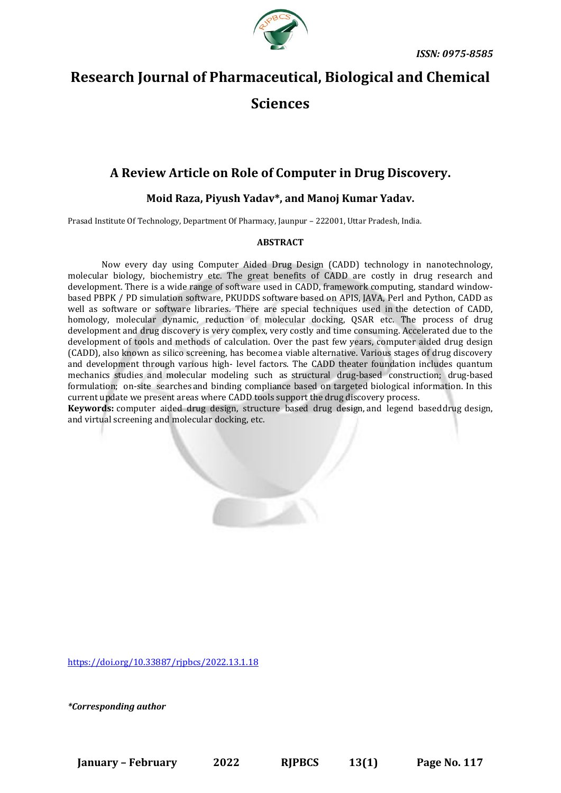

# **Research Journal of Pharmaceutical, Biological and Chemical**

# **Sciences**

## **A Review Article on Role of Computer in Drug Discovery.**

## **Moid Raza, Piyush Yadav\*, and Manoj Kumar Yadav.**

Prasad Institute Of Technology, Department Of Pharmacy, Jaunpur – 222001, Uttar Pradesh, India.

#### **ABSTRACT**

Now every day using Computer Aided Drug Design (CADD) technology in nanotechnology, molecular biology, biochemistry etc. The great benefits of CADD are costly in drug research and development. There is a wide range of software used in CADD, framework computing, standard windowbased PBPK / PD simulation software, PKUDDS software based on APIS, JAVA, Perl and Python, CADD as well as software or software libraries. There are special techniques used in the detection of CADD, homology, molecular dynamic, reduction of molecular docking, QSAR etc. The process of drug development and drug discovery is very complex, very costly and time consuming. Accelerated due to the development of tools and methods of calculation. Over the past few years, computer aided drug design (CADD), also known as silico screening, has becomea viable alternative. Various stages of drug discovery and development through various high- level factors. The CADD theater foundation includes quantum mechanics studies and molecular modeling such as structural drug-based construction; drug-based formulation; on-site searchesand binding compliance based on targeted biological information. In this current update we present areas where CADD tools support the drug discovery process.

**Keywords:** computer aided drug design, structure based drug design, and legend baseddrug design, and virtual screening and molecular docking, etc.

<https://doi.org/10.33887/rjpbcs/2022.13.1.18>

*\*Corresponding author*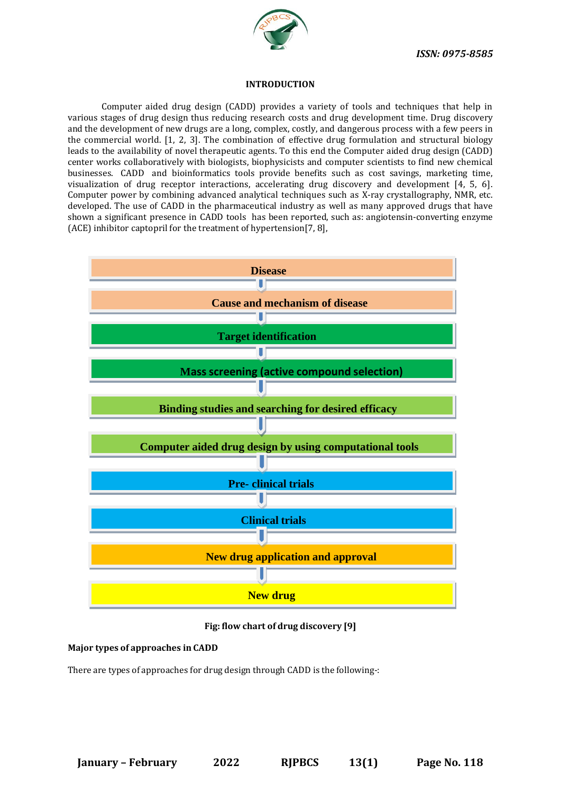

#### **INTRODUCTION**

Computer aided drug design (CADD) provides a variety of tools and techniques that help in various stages of drug design thus reducing research costs and drug development time. Drug discovery and the development of new drugs are a long, complex, costly, and dangerous process with a few peers in the commercial world. [1, 2, 3]. The combination of effective drug formulation and structural biology leads to the availability of novel therapeutic agents. To this end the Computer aided drug design (CADD) center works collaboratively with biologists, biophysicists and computer scientists to find new chemical businesses. CADD and bioinformatics tools provide benefits such as cost savings, marketing time, visualization of drug receptor interactions, accelerating drug discovery and development [4, 5, 6]. Computer power by combining advanced analytical techniques such as X-ray crystallography, NMR, etc. developed. The use of CADD in the pharmaceutical industry as well as many approved drugs that have shown a significant presence in CADD tools has been reported, such as: angiotensin-converting enzyme (ACE) inhibitor captopril for the treatment of hypertension[7, 8],



**Fig: flow chart of drug discovery [9]**

## **Major types of approaches in CADD**

There are types of approaches for drug design through CADD is the following-: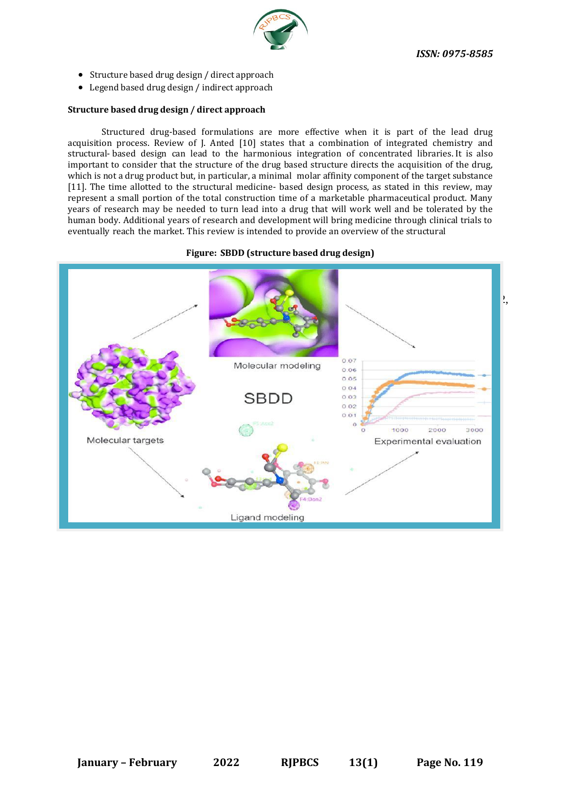*ISSN: 0975-8585*



- Structure based drug design / direct approach
- Legend based drug design / indirect approach

#### **Structure based drug design / direct approach**

Structured drug-based formulations are more effective when it is part of the lead drug acquisition process. Review of J. Anted [10] states that a combination of integrated chemistry and structural- based design can lead to the harmonious integration of concentrated libraries. It is also important to consider that the structure of the drug based structure directs the acquisition of the drug, which is not a drug product but, in particular, a minimal molar affinity component of the target substance [11]. The time allotted to the structural medicine- based design process, as stated in this review, may represent a small portion of the total construction time of a marketable pharmaceutical product. Many years of research may be needed to turn lead into a drug that will work well and be tolerated by the human body. Additional years of research and development will bring medicine through clinical trials to eventually reach the market. This review is intended to provide an overview of the structural

#### **Figure: SBDD (structure based drug design)**

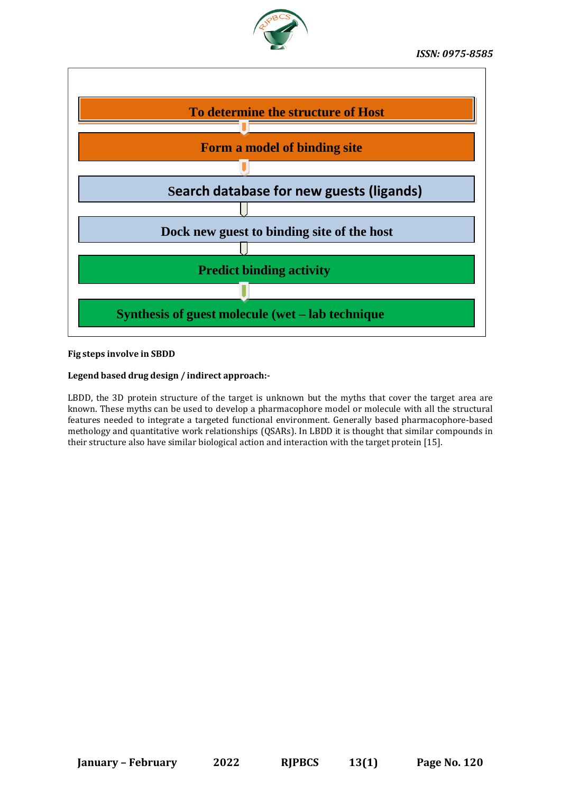



## **Fig steps involve in SBDD**

## **Legend based drug design / indirect approach:-**

LBDD, the 3D protein structure of the target is unknown but the myths that cover the target area are known. These myths can be used to develop a pharmacophore model or molecule with all the structural features needed to integrate a targeted functional environment. Generally based pharmacophore-based methology and quantitative work relationships (QSARs). In LBDD it is thought that similar compounds in their structure also have similar biological action and interaction with the target protein [15].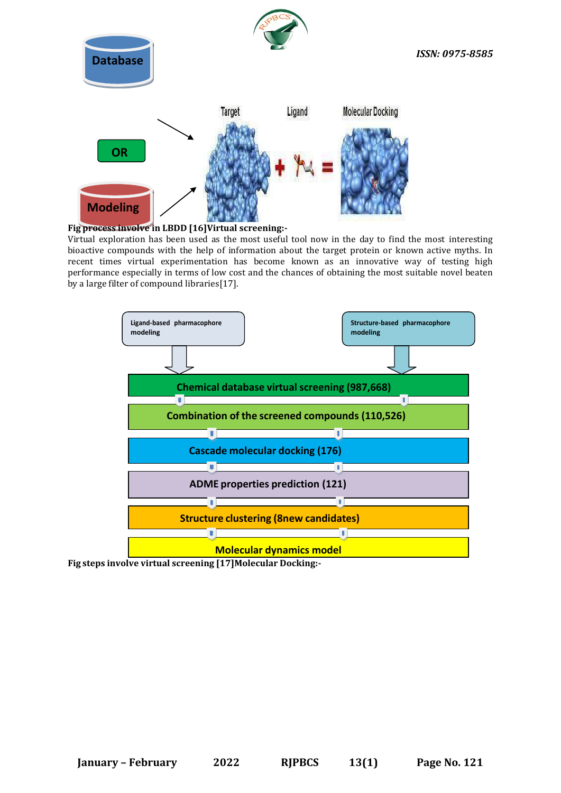

## **Fig process involve in LBDD [16]Virtual screening:-**

Virtual exploration has been used as the most useful tool now in the day to find the most interesting bioactive compounds with the help of information about the target protein or known active myths. In recent times virtual experimentation has become known as an innovative way of testing high performance especially in terms of low cost and the chances of obtaining the most suitable novel beaten by a large filter of compound libraries[17].



**Fig steps involve virtual screening [17]Molecular Docking:-**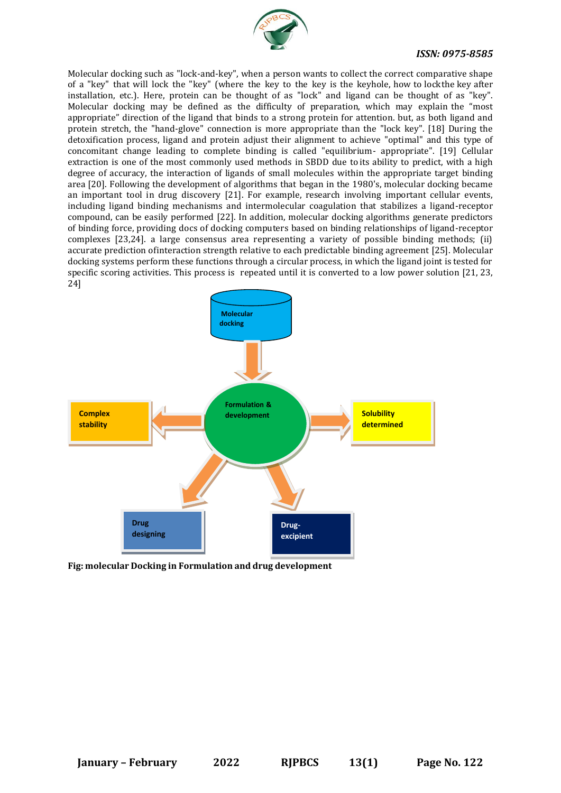

## *ISSN: 0975-8585*

Molecular docking such as "lock-and-key", when a person wants to collect the correct comparative shape of a "key" that will lock the "key" (where the key to the key is the keyhole, how to lockthe key after installation, etc.). Here, protein can be thought of as "lock" and ligand can be thought of as "key". Molecular docking may be defined as the difficulty of preparation, which may explain the "most appropriate" direction of the ligand that binds to a strong protein for attention. but, as both ligand and protein stretch, the "hand-glove" connection is more appropriate than the "lock key". [18] During the detoxification process, ligand and protein adjust their alignment to achieve "optimal" and this type of concomitant change leading to complete binding is called "equilibrium- appropriate". [19] Cellular extraction is one of the most commonly used methods in SBDD due to its ability to predict, with a high degree of accuracy, the interaction of ligands of small molecules within the appropriate target binding area [20]. Following the development of algorithms that began in the 1980's, molecular docking became an important tool in drug discovery [21]. For example, research involving important cellular events, including ligand binding mechanisms and intermolecular coagulation that stabilizes a ligand-receptor compound, can be easily performed [22]. In addition, molecular docking algorithms generate predictors of binding force, providing docs of docking computers based on binding relationships of ligand-receptor complexes [23,24]. a large consensus area representing a variety of possible binding methods; (ii) accurate prediction ofinteraction strength relative to each predictable binding agreement [25]. Molecular docking systems perform these functions through a circular process, in which the ligand joint is tested for specific scoring activities. This process is repeated until it is converted to a low power solution [21, 23, 24]



**Fig: molecular Docking in Formulation and drug development**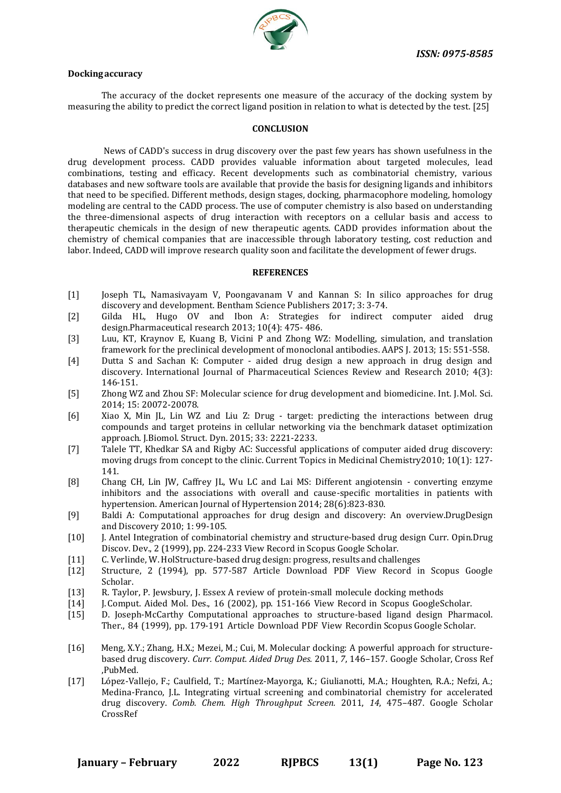

#### **Dockingaccuracy**

The accuracy of the docket represents one measure of the accuracy of the docking system by measuring the ability to predict the correct ligand position in relation to what is detected by the test. [25]

#### **CONCLUSION**

News of CADD's success in drug discovery over the past few years has shown usefulness in the drug development process. CADD provides valuable information about targeted molecules, lead combinations, testing and efficacy. Recent developments such as combinatorial chemistry, various databases and new software tools are available that provide the basis for designing ligands and inhibitors that need to be specified. Different methods, design stages, docking, pharmacophore modeling, homology modeling are central to the CADD process. The use of computer chemistry is also based on understanding the three-dimensional aspects of drug interaction with receptors on a cellular basis and access to therapeutic chemicals in the design of new therapeutic agents. CADD provides information about the chemistry of chemical companies that are inaccessible through laboratory testing, cost reduction and labor. Indeed, CADD will improve research quality soon and facilitate the development of fewer drugs.

#### **REFERENCES**

- [1] Joseph TL, Namasivayam V, Poongavanam V and Kannan S: In silico approaches for drug discovery and development. Bentham Science Publishers 2017; 3: 3-74.
- [2] Gilda HL, Hugo OV and Ibon A: Strategies for indirect computer aided drug design.Pharmaceutical research 2013; 10(4): 475- 486.
- [3] Luu, KT, Kraynov E, Kuang B, Vicini P and Zhong WZ: Modelling, simulation, and translation framework for the preclinical development of monoclonal antibodies. AAPS J. 2013; 15: 551-558.
- [4] Dutta S and Sachan K: Computer aided drug design a new approach in drug design and discovery. International Journal of Pharmaceutical Sciences Review and Research 2010; 4(3): 146-151.
- [5] Zhong WZ and Zhou SF: Molecular science for drug development and biomedicine. Int. J.Mol. Sci. 2014; 15: 20072-20078.
- [6] Xiao X, Min JL, Lin WZ and Liu Z: Drug target: predicting the interactions between drug compounds and target proteins in cellular networking via the benchmark dataset optimization approach. J.Biomol. Struct. Dyn. 2015; 33: 2221-2233.
- [7] Talele TT, Khedkar SA and Rigby AC: Successful applications of computer aided drug discovery: moving drugs from concept to the clinic. Current Topics in Medicinal Chemistry2010; 10(1): 127- 141.
- [8] Chang CH, Lin JW, Caffrey JL, Wu LC and Lai MS: Different angiotensin converting enzyme inhibitors and the associations with overall and cause-specific mortalities in patients with hypertension. American Journal of Hypertension 2014; 28(6):823-830.
- [9] Baldi A: Computational approaches for drug design and discovery: An overview.DrugDesign and Discovery 2010; 1: 99-105.
- [10] J. Antel Integration of combinatorial chemistry and structure-based drug design Curr. Opin.Drug Discov. Dev., 2 (1999), pp. 224-233 View Record [in Scopus](https://www.scopus.com/inward/record.url?eid=2-s2.0-0033044392&partnerID=10&rel=R3.0.0) Google [Scholar.](https://scholar.google.com/scholar_lookup?title=Integration%20of%20combinatorial%20chemistry%20and%20structure-based%20drug%20design&publication_year=1999&author=J.%20Antel)
- [11] C. Verlinde, W.HolStructure-based drug design: progress, results and challenges
- [12] Structure, 2 (1994), pp. 577-587 [Article](https://www.sciencedirect.com/science/article/pii/S0969212600000605) [Download](https://www.sciencedirect.com/science/article/pii/S0969212600000605/pdfft?md5=3baaa3c9649b2c12150141b0147bf293&pid=1-s2.0-S0969212600000605-main.pdf) PDF View [Record](https://www.scopus.com/inward/record.url?eid=2-s2.0-0028773887&partnerID=10&rel=R3.0.0) in Scopus [Google](https://scholar.google.com/scholar_lookup?title=Structure-based%20drug%20design%3A%20progress%2C%20results%20and%20challenges&publication_year=1994&author=C.%20Verlinde&author=W.%20Hol) [Scholar.](https://scholar.google.com/scholar_lookup?title=Structure-based%20drug%20design%3A%20progress%2C%20results%20and%20challenges&publication_year=1994&author=C.%20Verlinde&author=W.%20Hol)
- [13] R. Taylor, P. Jewsbury, J. Essex A review of protein-small molecule docking methods
- [14] J.Comput. Aided Mol. Des., 16 (2002), pp. 151-166 View [Record](https://www.scopus.com/inward/record.url?eid=2-s2.0-0036520840&partnerID=10&rel=R3.0.0) in Scopus [GoogleScholar.](https://scholar.google.com/scholar_lookup?title=A%20review%20of%20protein-small%20molecule%20docking%20methods&publication_year=2002&author=R.%20Taylor&author=P.%20Jewsbury&author=J.%20Essex)
- [15] D. Joseph-McCarthy Computational approaches to structure-based ligand design Pharmacol. Ther., 84 (1999), pp. 179-191 [Article](https://www.sciencedirect.com/science/article/pii/S0163725899000315) [Download](https://www.sciencedirect.com/science/article/pii/S0163725899000315/pdfft?md5=22433ab89932bf9c1348dd5e84bdad11&pid=1-s2.0-S0163725899000315-main.pdf) PDF View [Recordin](https://www.scopus.com/inward/record.url?eid=2-s2.0-0032828061&partnerID=10&rel=R3.0.0) [Scopus G](https://www.scopus.com/inward/record.url?eid=2-s2.0-0032828061&partnerID=10&rel=R3.0.0)oogle [Scholar.](https://scholar.google.com/scholar_lookup?title=Computational%20approaches%20to%20structure-based%20ligand%20design&publication_year=1999&author=D.%20Joseph-McCarthy)
- [16] Meng, X.Y.; Zhang, H.X.; Mezei, M.; Cui, M. Molecular docking: A powerful approach for structurebased drug discovery. *Curr. Comput. Aided Drug Des.* 2011, *7*, 146–157. Google Scholar, [Cross](https://dx.doi.org/10.2174/157340911795677602) Ref ,PubMed.
- [17] López-Vallejo, F.; Caulfield, T.; Martínez-Mayorga, K.; Giulianotti, M.A.; Houghten, R.A.; Nefzi, A.; Medina-Franco, J.L. Integrating virtual screening and combinatorial chemistry for accelerated drug discovery. *Comb. Chem. High Throughput Screen.* 2011, *14*, 475–487. Google [Scholar](https://scholar.google.com/scholar_lookup?title=Integrating%2Bvirtual%2Bscreening%2Band%2Bcombinatorial%2Bchemistry%2Bfor%2Baccelerated%2Bdrug%2Bdiscovery&author=L%C3%B3pez-Vallejo%2C%2BF.&author=Caulfield%2C%2BT.&author=Mart%C3%ADnez-Mayorga%2C%2BK.&author=Giulianotti%2C%2BM.A.&author=Houghten%2C%2BR.A.&author=Nefzi%2C%2BA.&author=Medina-Franco%2C%2BJ.L.&publication_year=2011&journal=Comb.%2BChem.%2BHigh%2BThroughput%2BScreen.&volume=14&pages=475%E2%80%93487&doi=10.2174/138620711795767866) [CrossRef](https://dx.doi.org/10.2174/138620711795767866)